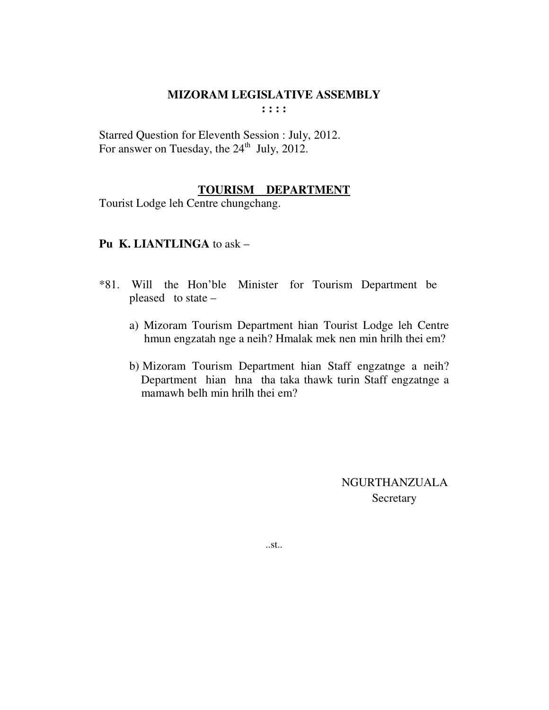Starred Question for Eleventh Session : July, 2012. For answer on Tuesday, the  $24<sup>th</sup>$  July, 2012.

#### **TOURISM DEPARTMENT**

Tourist Lodge leh Centre chungchang.

#### **Pu K. LIANTLINGA** to ask –

- \*81. Will the Hon'ble Minister for Tourism Department be pleased to state –
	- a) Mizoram Tourism Department hian Tourist Lodge leh Centre hmun engzatah nge a neih? Hmalak mek nen min hrilh thei em?
	- b) Mizoram Tourism Department hian Staff engzatnge a neih? Department hian hna tha taka thawk turin Staff engzatnge a mamawh belh min hrilh thei em?

 NGURTHANZUALA Secretary

..st..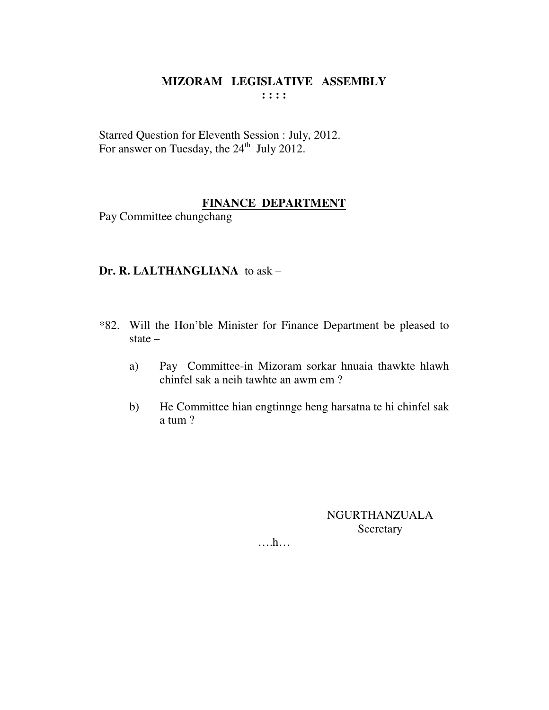Starred Question for Eleventh Session : July, 2012. For answer on Tuesday, the 24<sup>th</sup> July 2012.

# FINANCE DEPARTMENT

Pay Committee chungchang

#### Dr. R. LALTHANGLIANA to ask -

- \*82. Will the Hon'ble Minister for Finance Department be pleased to state  $-$ 
	- Pay Committee-in Mizoram sorkar hnuaia thawkte hlawh  $a)$ chinfel sak a neih tawhte an awm em?
	- He Committee hian engtinnge heng harsatna te hi chinfel sak  $b)$ a tum?

**NGURTHANZUALA** Secretary

 $\dots$ ...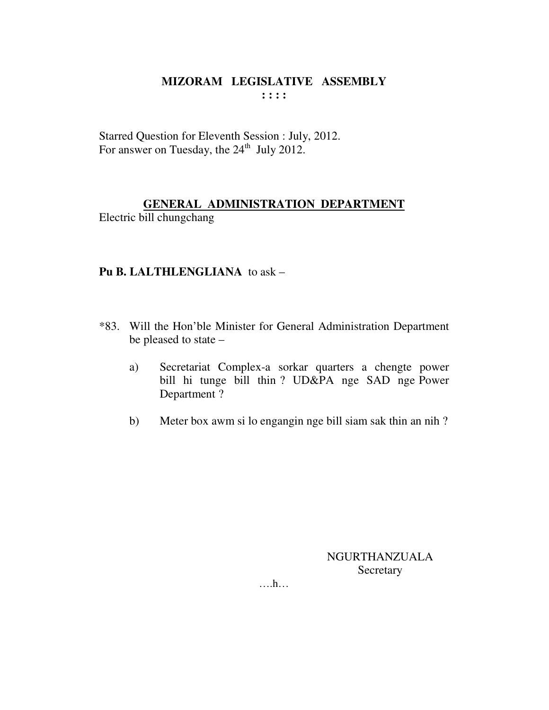Starred Question for Eleventh Session : July, 2012. For answer on Tuesday, the 24<sup>th</sup> July 2012.

#### **GENERAL ADMINISTRATION DEPARTMENT** Electric bill chungchang

# Pu B. LALTHLENGLIANA to ask -

- \*83. Will the Hon'ble Minister for General Administration Department be pleased to state -
	- Secretariat Complex-a sorkar quarters a chengte power a) bill hi tunge bill thin? UD&PA nge SAD nge Power Department?
	- Meter box awm si lo engangin nge bill siam sak thin an nih?  $b)$

NGURTHANZUALA Secretary

 $\dots$ ...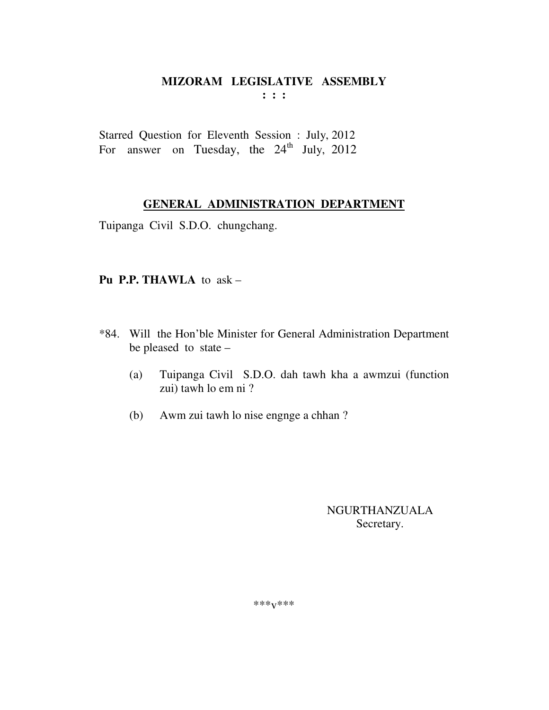# **MIZORAM LEGISLATIVE ASSEMBLY**

**: : :** 

Starred Question for Eleventh Session : July, 2012 For answer on Tuesday, the  $24<sup>th</sup>$  July, 2012

## **GENERAL ADMINISTRATION DEPARTMENT**

Tuipanga Civil S.D.O. chungchang.

## **Pu P.P. THAWLA** to ask –

- \*84. Will the Hon'ble Minister for General Administration Department be pleased to state –
	- (a) Tuipanga Civil S.D.O. dah tawh kha a awmzui (function zui) tawh lo em ni ?
	- (b) Awm zui tawh lo nise engnge a chhan ?

# NGURTHANZUALA Secretary.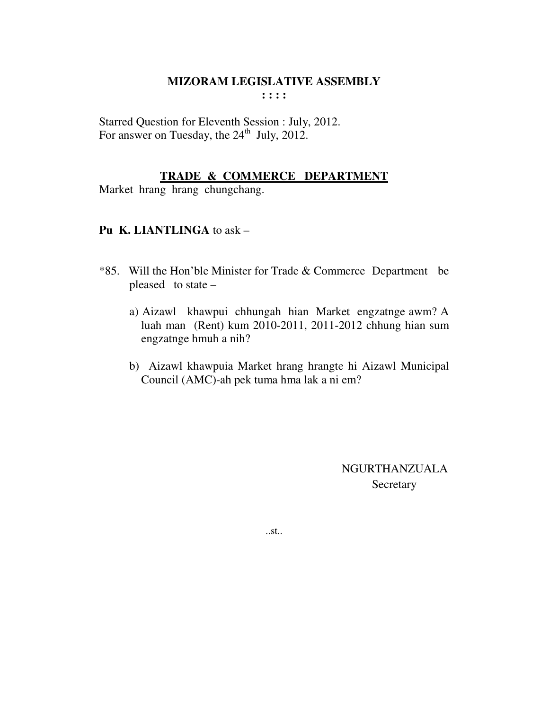Starred Question for Eleventh Session : July, 2012. For answer on Tuesday, the  $24<sup>th</sup>$  July, 2012.

#### **TRADE & COMMERCE DEPARTMENT**

Market hrang hrang chungchang.

#### **Pu K. LIANTLINGA** to ask –

- \*85. Will the Hon'ble Minister for Trade & Commerce Department be pleased to state –
	- a) Aizawl khawpui chhungah hian Market engzatnge awm? A luah man (Rent) kum 2010-2011, 2011-2012 chhung hian sum engzatnge hmuh a nih?
	- b) Aizawl khawpuia Market hrang hrangte hi Aizawl Municipal Council (AMC)-ah pek tuma hma lak a ni em?

 NGURTHANZUALA **Secretary** 

..st..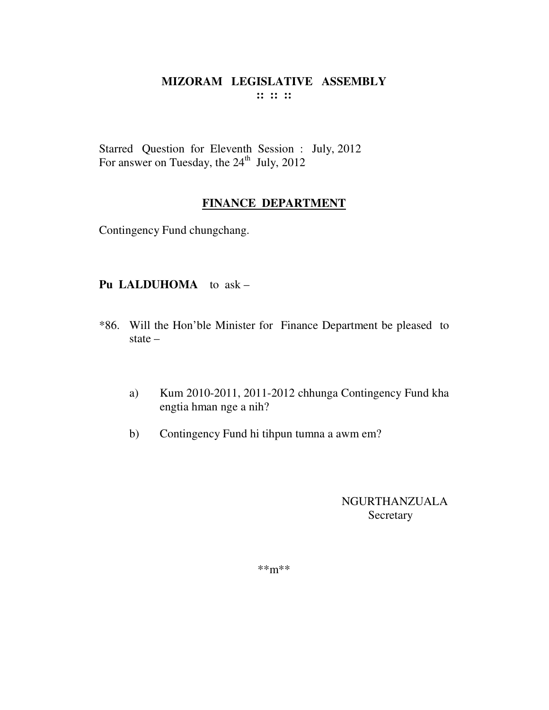# MIZORAM LEGISLATIVE ASSEMBLY  $\cdots$   $\cdots$   $\cdots$

Starred Question for Eleventh Session : July, 2012 For answer on Tuesday, the 24<sup>th</sup> July, 2012

# FINANCE DEPARTMENT

Contingency Fund chungchang.

# Pu LALDUHOMA to ask -

- \*86. Will the Hon'ble Minister for Finance Department be pleased to state  $-$ 
	- Kum 2010-2011, 2011-2012 chhunga Contingency Fund kha a) engtia hman nge a nih?
	- Contingency Fund hi tihpun tumna a awm em?  $b)$

NGURTHANZUALA Secretary

 $***m***$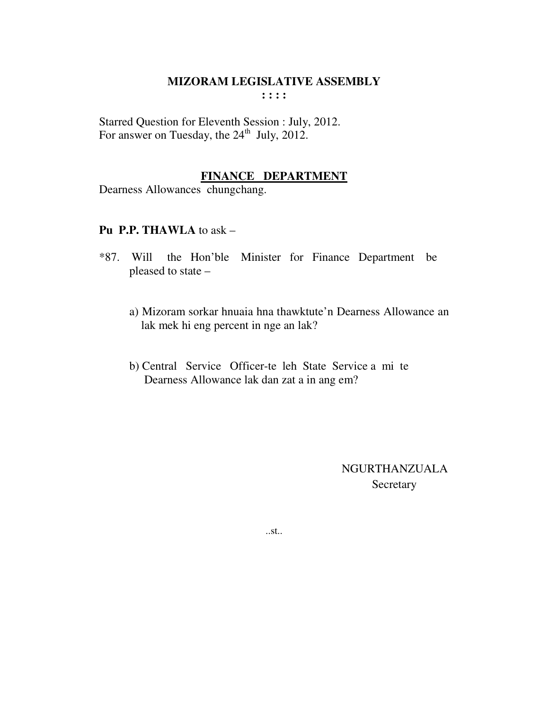Starred Question for Eleventh Session : July, 2012. For answer on Tuesday, the 24<sup>th</sup> July, 2012.

#### FINANCE DEPARTMENT

Dearness Allowances chungchang.

# Pu P.P. THAWLA to ask -

- \*87. Will the Hon'ble Minister for Finance Department be pleased to state
	- a) Mizoram sorkar hnuaia hna thawktute'n Dearness Allowance an lak mek hi eng percent in nge an lak?
	- b) Central Service Officer-te leh State Service a mi te Dearness Allowance lak dan zat a in ang em?

NGURTHANZUALA Secretary

 $...st...$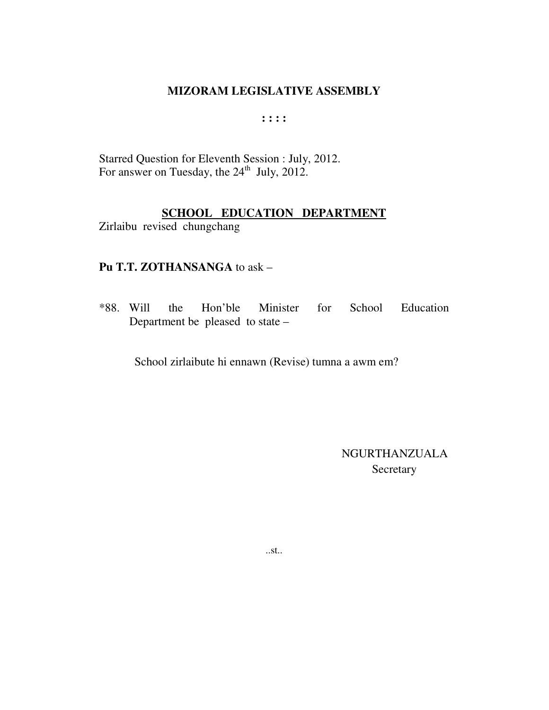#### MIZORAM LEGISLATIVE ASSEMBLY

 $: : : :$ 

Starred Question for Eleventh Session : July, 2012.<br>For answer on Tuesday, the 24<sup>th</sup> July, 2012.

# **SCHOOL EDUCATION DEPARTMENT**

Zirlaibu revised chungchang

# Pu T.T. ZOTHANSANGA to ask -

\*88. Will the Hon'ble Minister  $for$ School Education Department be pleased to state -

School zirlaibute hi ennawn (Revise) tumna a awm em?

**NGURTHANZUALA** Secretary

 $..st..$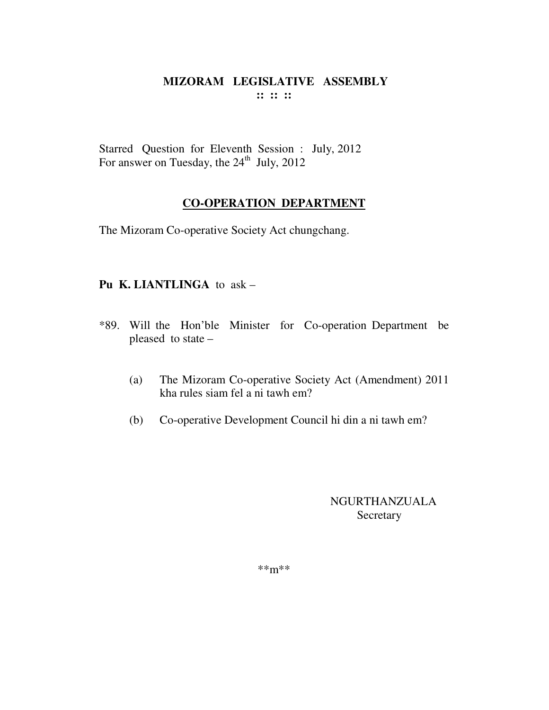Starred Question for Eleventh Session : July, 2012 For answer on Tuesday, the  $24<sup>th</sup>$  July, 2012

# **CO-OPERATION DEPARTMENT**

The Mizoram Co-operative Society Act chungchang.

# **Pu K. LIANTLINGA** to ask –

- \*89. Will the Hon'ble Minister for Co-operation Department be pleased to state –
	- (a) The Mizoram Co-operative Society Act (Amendment) 2011 kha rules siam fel a ni tawh em?
	- (b) Co-operative Development Council hi din a ni tawh em?

# NGURTHANZUALA **Secretary**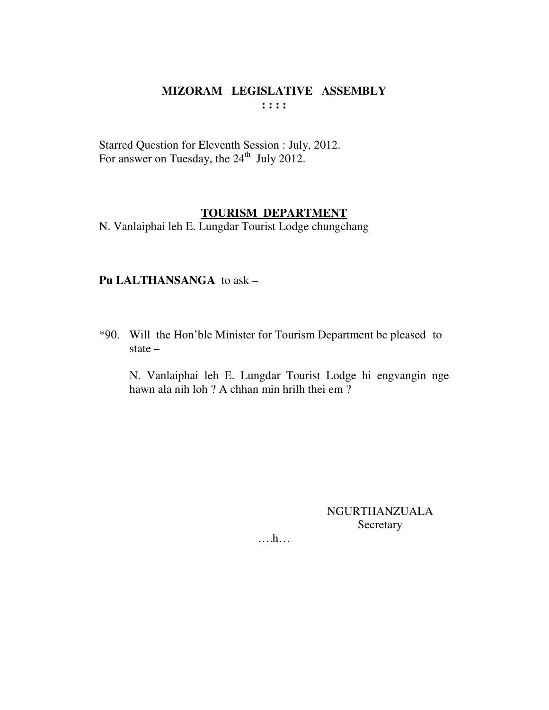Starred Question for Eleventh Session : July, 2012. For answer on Tuesday, the  $24<sup>th</sup>$  July 2012.

#### **TOURISM DEPARTMENT**

N. Vanlaiphai leh E. Lungdar Tourist Lodge chungchang

#### **Pu LALTHANSANGA** to ask –

\*90. Will the Hon'ble Minister for Tourism Department be pleased to state –

 N. Vanlaiphai leh E. Lungdar Tourist Lodge hi engvangin nge hawn ala nih loh ? A chhan min hrilh thei em ?

> NGURTHANZUALA Secretary

….h…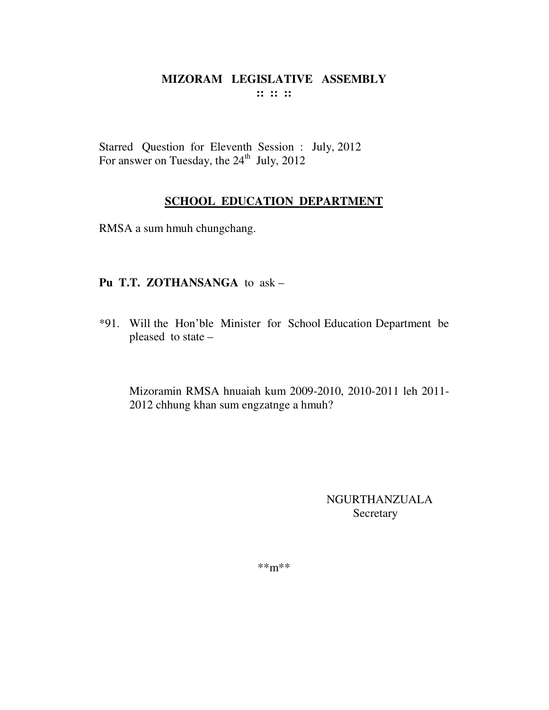Starred Question for Eleventh Session : July, 2012 For answer on Tuesday, the  $24<sup>th</sup>$  July, 2012

# **SCHOOL EDUCATION DEPARTMENT**

RMSA a sum hmuh chungchang.

# **Pu T.T. ZOTHANSANGA** to ask –

\*91. Will the Hon'ble Minister for School Education Department be pleased to state –

Mizoramin RMSA hnuaiah kum 2009-2010, 2010-2011 leh 2011- 2012 chhung khan sum engzatnge a hmuh?

## NGURTHANZUALA Secretary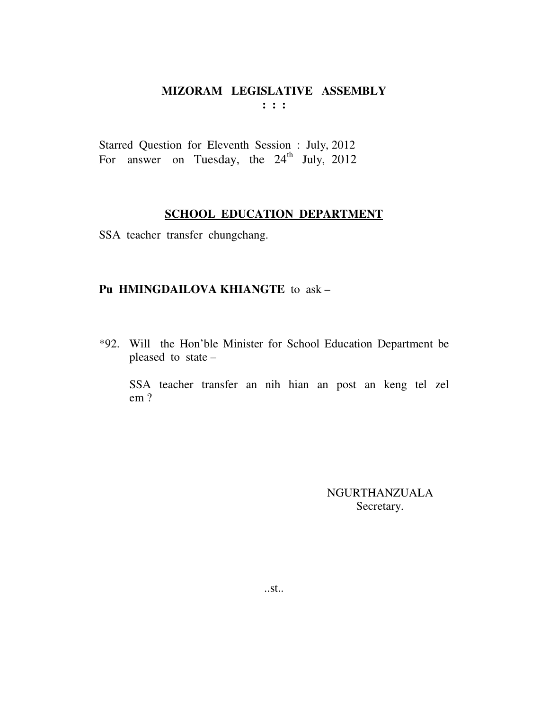Starred Question for Eleventh Session : July, 2012 For answer on Tuesday, the 24<sup>th</sup> July, 2012

# **SCHOOL EDUCATION DEPARTMENT**

SSA teacher transfer chungchang.

#### Pu HMINGDAILOVA KHIANGTE to ask -

\*92. Will the Hon'ble Minister for School Education Department be pleased to state -

SSA teacher transfer an nih hian an post an keng tel zel  $em?$ 

> NGURTHANZUALA Secretary.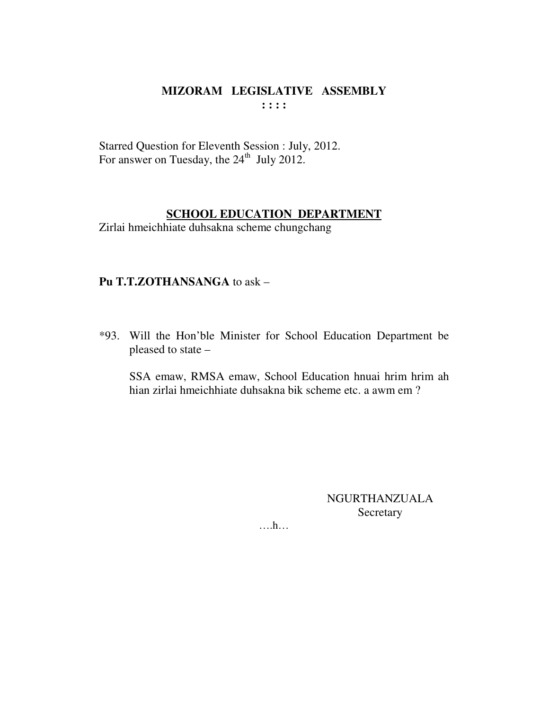## MIZORAM LEGISLATIVE ASSEMBLY  $\mathbf{1}$   $\mathbf{1}$   $\mathbf{1}$   $\mathbf{1}$

Starred Question for Eleventh Session : July, 2012.<br>For answer on Tuesday, the 24<sup>th</sup> July 2012.

## **SCHOOL EDUCATION DEPARTMENT**

Zirlai hmeichhiate duhsakna scheme chungchang

# Pu T.T.ZOTHANSANGA to ask -

\*93. Will the Hon'ble Minister for School Education Department be pleased to state -

SSA emaw, RMSA emaw, School Education hnuai hrim hrim ah hian zirlai hmeichhiate duhsakna bik scheme etc. a awm em?

> **NGURTHANZUALA** Secretary

 $\dots h\dots$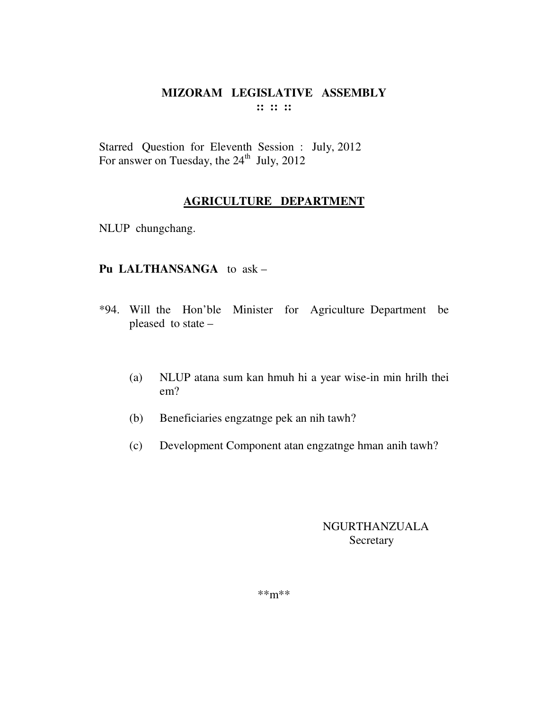Starred Question for Eleventh Session : July, 2012 For answer on Tuesday, the  $24<sup>th</sup>$  July, 2012

# **AGRICULTURE DEPARTMENT**

NLUP chungchang.

## **Pu LALTHANSANGA** to ask –

- \*94. Will the Hon'ble Minister for Agriculture Department be pleased to state –
	- (a) NLUP atana sum kan hmuh hi a year wise-in min hrilh thei em?
	- (b) Beneficiaries engzatnge pek an nih tawh?
	- (c) Development Component atan engzatnge hman anih tawh?

# NGURTHANZUALA Secretary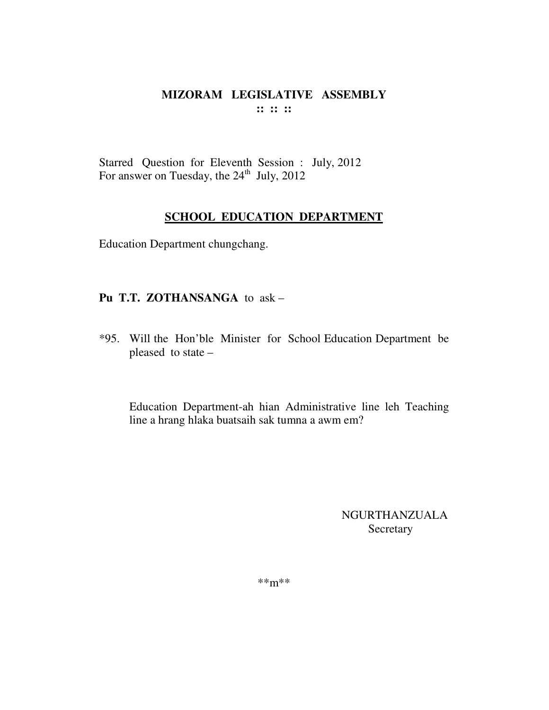Starred Question for Eleventh Session : July, 2012 For answer on Tuesday, the 24<sup>th</sup> July, 2012

#### **SCHOOL EDUCATION DEPARTMENT**

Education Department chungchang.

# Pu T.T. ZOTHANSANGA to ask -

\*95. Will the Hon'ble Minister for School Education Department be pleased to state -

Education Department-ah hian Administrative line leh Teaching line a hrang hlaka buatsaih sak tumna a awm em?

> NGURTHANZUALA Secretary

 $***m***$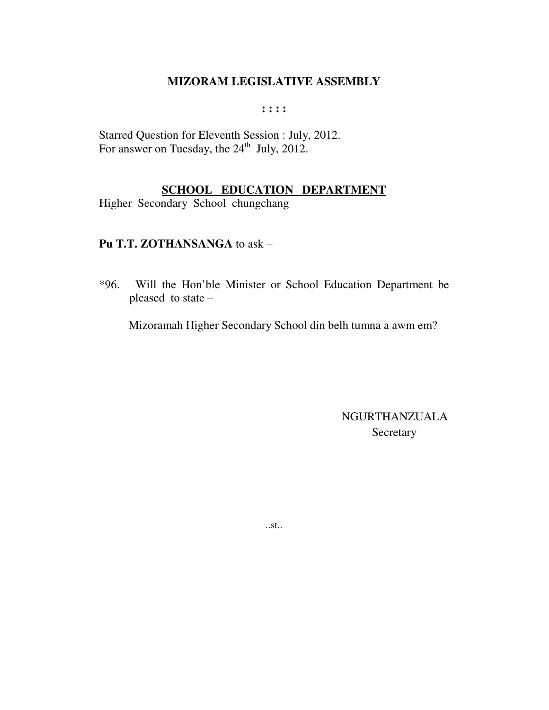#### MIZORAM LEGISLATIVE ASSEMBLY

 $: : : :$ 

Starred Question for Eleventh Session : July, 2012.<br>For answer on Tuesday, the 24<sup>th</sup> July, 2012.

# **SCHOOL EDUCATION DEPARTMENT**

Higher Secondary School chungchang

#### Pu T.T. ZOTHANSANGA to ask -

Will the Hon'ble Minister or School Education Department be  $*96.$ pleased to state -

Mizoramah Higher Secondary School din belh tumna a awm em?

**NGURTHANZUALA** Secretary

 $...st...$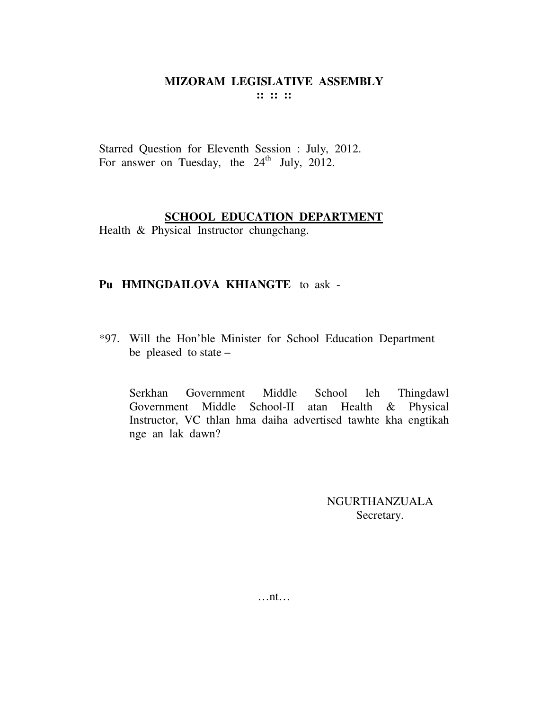#### MIZORAM LEGISLATIVE ASSEMBLY  $\cdots$   $\cdots$   $\cdots$

Starred Question for Eleventh Session : July, 2012. For answer on Tuesday, the 24<sup>th</sup> July, 2012.

#### **SCHOOL EDUCATION DEPARTMENT**

Health & Physical Instructor chungchang.

## Pu HMINGDAILOVA KHIANGTE to ask -

\*97. Will the Hon'ble Minister for School Education Department be pleased to state  $-$ 

Thingdawl Serkhan Government Middle School leh Government Middle School-II atan Health & Physical Instructor, VC thlan hma daiha advertised tawhte kha engtikah nge an lak dawn?

> NGURTHANZUALA Secretary.

 $\dots$ nt $\dots$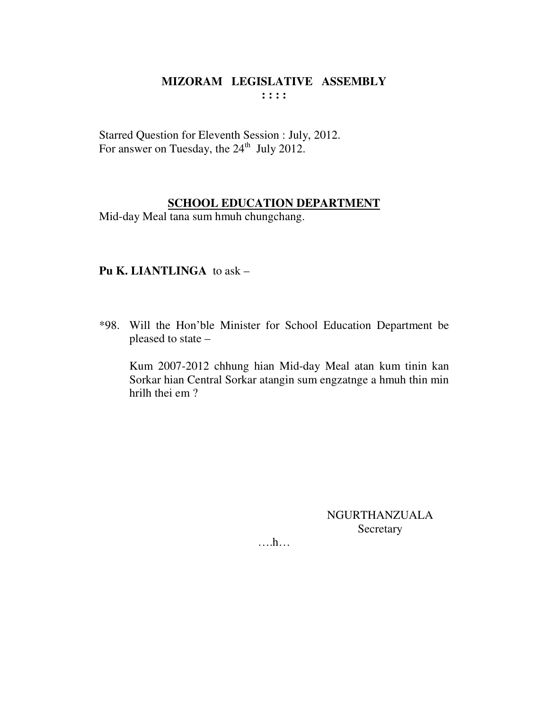Starred Question for Eleventh Session : July, 2012. For answer on Tuesday, the  $24<sup>th</sup>$  July 2012.

# **SCHOOL EDUCATION DEPARTMENT**

Mid-day Meal tana sum hmuh chungchang.

## **Pu K. LIANTLINGA** to ask –

\*98. Will the Hon'ble Minister for School Education Department be pleased to state –

 Kum 2007-2012 chhung hian Mid-day Meal atan kum tinin kan Sorkar hian Central Sorkar atangin sum engzatnge a hmuh thin min hrilh thei em ?

> NGURTHANZUALA **Secretary**

….h…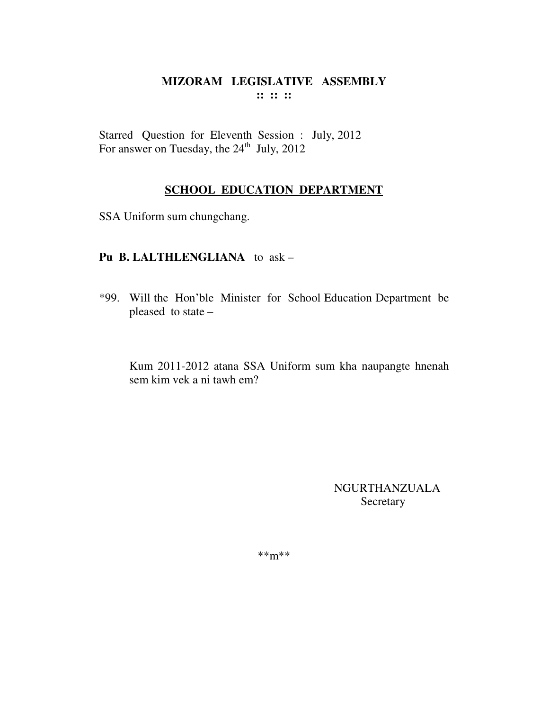Starred Question for Eleventh Session : July, 2012 For answer on Tuesday, the  $24<sup>th</sup>$  July, 2012

# **SCHOOL EDUCATION DEPARTMENT**

SSA Uniform sum chungchang.

#### **Pu B. LALTHLENGLIANA** to ask –

\*99. Will the Hon'ble Minister for School Education Department be pleased to state –

Kum 2011-2012 atana SSA Uniform sum kha naupangte hnenah sem kim vek a ni tawh em?

> NGURTHANZUALA Secretary